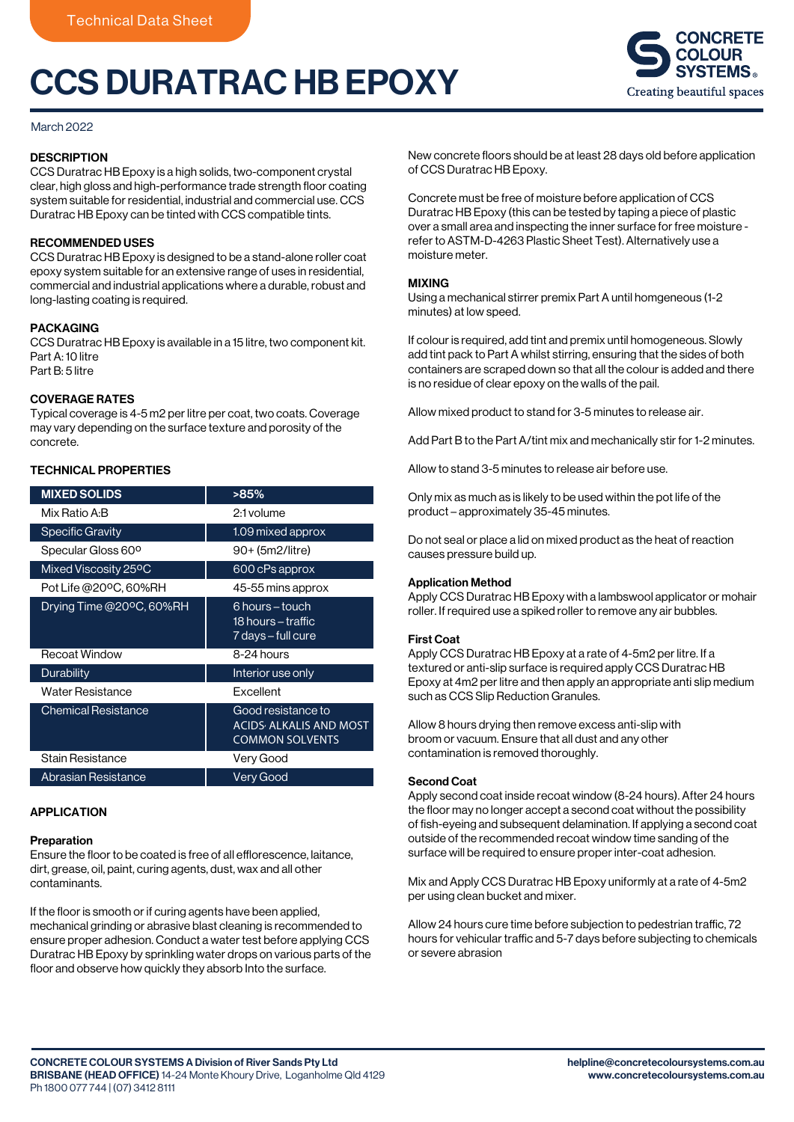# CCS DURATRAC HB EPOXY



## March 2022

# **DESCRIPTION**

CCS Duratrac HB Epoxy is a high solids, two-component crystal clear, high gloss and high-performance trade strength floor coating system suitable for residential, industrial and commercial use. CCS Duratrac HB Epoxy can be tinted with CCS compatible tints.

## RECOMMENDED USES

CCS Duratrac HB Epoxy is designed to be a stand-alone roller coat epoxy system suitable for an extensive range of uses in residential, commercial and industrial applications where a durable, robust and long-lasting coating is required.

# PACKAGING

CCS Duratrac HB Epoxy is available in a 15 litre, two component kit. Part A: 10 litre Part B: 5 litre

# COVERAGE RATES

Typical coverage is 4-5 m2 per litre per coat, two coats. Coverage may vary depending on the surface texture and porosity of the concrete.

# TECHNICAL PROPERTIES

| <b>MIXED SOLIDS</b>            | >85%                                                                                      |
|--------------------------------|-------------------------------------------------------------------------------------------|
| Mix Ratio A:B                  | 2:1 volume                                                                                |
| <b>Specific Gravity</b>        | 1.09 mixed approx                                                                         |
| Specular Gloss 60 <sup>o</sup> | 90+ (5m2/litre)                                                                           |
| Mixed Viscosity 25°C           | 600 cPs approx                                                                            |
| Pot Life @20ºC, 60%RH          | 45-55 mins approx                                                                         |
| Drying Time @20°C, 60%RH       | 6 hours – touch<br>18 hours – traffic<br>7 days – full cure                               |
| Recoat Window                  | 8-24 hours                                                                                |
| Durability                     | Interior use only                                                                         |
| Water Resistance               | Excellent                                                                                 |
| <b>Chemical Resistance</b>     | Good resistance to<br><b>ACIDS<sup>,</sup> ALKALIS AND MOST</b><br><b>COMMON SOLVENTS</b> |
| Stain Resistance               | Very Good                                                                                 |
| <b>Abrasian Resistance</b>     | Very Good                                                                                 |

# APPLICATION

#### Preparation

Ensure the floor to be coated is free of all efflorescence, laitance, dirt, grease, oil, paint, curing agents, dust, wax and all other contaminants.

If the floor is smooth or if curing agents have been applied, mechanical grinding or abrasive blast cleaning is recommended to ensure proper adhesion. Conduct a water test before applying CCS Duratrac HB Epoxy by sprinkling water drops on various parts of the floor and observe how quickly they absorb Into the surface.

New concrete floors should be at least 28 days old before application of CCS Duratrac HB Epoxy.

Concrete must be free of moisture before application of CCS Duratrac HB Epoxy (this can be tested by taping a piece of plastic over a small area and inspecting the inner surface for free moisture refer to ASTM-D-4263 Plastic Sheet Test). Alternatively use a moisture meter.

### MIXING

Using a mechanical stirrer premix Part A until homgeneous (1-2 minutes) at low speed.

If colour is required, add tint and premix until homogeneous. Slowly add tint pack to Part A whilst stirring, ensuring that the sides of both containers are scraped down so that all the colour is added and there is no residue of clear epoxy on the walls of the pail.

Allow mixed product to stand for 3-5 minutes to release air.

Add Part B to the Part A/tint mix and mechanically stir for 1-2 minutes.

Allow to stand 3-5 minutes to release air before use.

Only mix as much as is likely to be used within the pot life of the product – approximately 35-45 minutes.

Do not seal or place a lid on mixed product as the heat of reaction causes pressure build up.

## Application Method

Apply CCS Duratrac HB Epoxy with a lambswool applicator or mohair roller. If required use a spiked roller to remove any air bubbles.

## First Coat

Apply CCS Duratrac HB Epoxy at a rate of 4-5m2 per litre. If a textured or anti-slip surface is required apply CCS Duratrac HB Epoxy at 4m2 per litre and then apply an appropriate anti slip medium such as CCS Slip Reduction Granules.

Allow 8 hours drying then remove excess anti-slip with broom or vacuum. Ensure that all dust and any other contamination is removed thoroughly.

#### Second Coat

Apply second coat inside recoat window (8-24 hours). After 24 hours the floor may no longer accept a second coat without the possibility of fish-eyeing and subsequent delamination. If applying a second coat outside of the recommended recoat window time sanding of the surface will be required to ensure proper inter-coat adhesion.

Mix and Apply CCS Duratrac HB Epoxy uniformly at a rate of 4-5m2 per using clean bucket and mixer.

Allow 24 hours cure time before subjection to pedestrian traffic, 72 hours for vehicular traffic and 5-7 days before subjecting to chemicals or severe abrasion